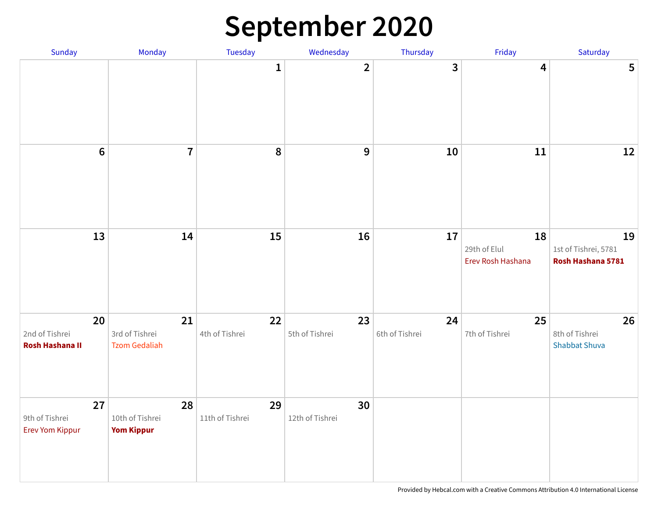#### **September 2020**

| Sunday                                         | Monday                                       | Tuesday               | Wednesday             | Thursday             | Friday                                  | Saturday                                        |
|------------------------------------------------|----------------------------------------------|-----------------------|-----------------------|----------------------|-----------------------------------------|-------------------------------------------------|
|                                                |                                              | $\mathbf{1}$          | $\overline{2}$        | 3                    | $\overline{\mathbf{4}}$                 | 5                                               |
| $6\phantom{1}6$                                | $\overline{7}$                               | $\pmb{8}$             | 9                     | ${\bf 10}$           | 11                                      | 12                                              |
| 13                                             | 14                                           | 15                    | 16                    | 17                   | 18<br>29th of Elul<br>Erev Rosh Hashana | 19<br>1st of Tishrei, 5781<br>Rosh Hashana 5781 |
| 20<br>2nd of Tishrei<br><b>Rosh Hashana II</b> | 21<br>3rd of Tishrei<br><b>Tzom Gedaliah</b> | 22<br>4th of Tishrei  | 23<br>5th of Tishrei  | 24<br>6th of Tishrei | 25<br>7th of Tishrei                    | 26<br>8th of Tishrei<br><b>Shabbat Shuva</b>    |
| 27<br>9th of Tishrei<br>Erev Yom Kippur        | 28<br>10th of Tishrei<br><b>Yom Kippur</b>   | 29<br>11th of Tishrei | 30<br>12th of Tishrei |                      |                                         |                                                 |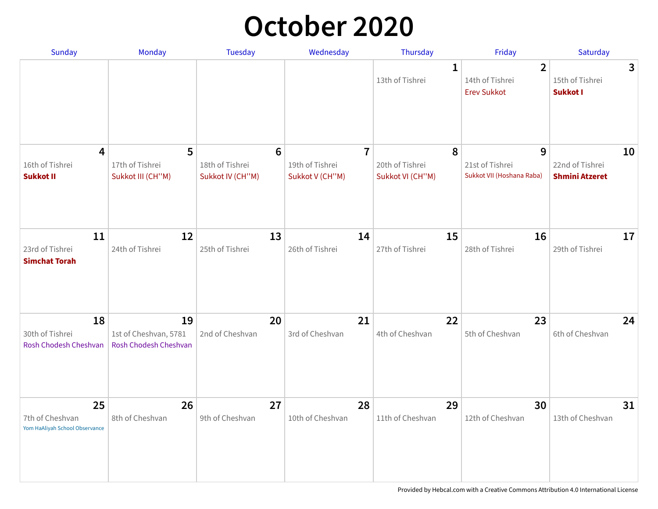### **October 2020**

| <b>Sunday</b>                                           | Monday                                               | <b>Tuesday</b>                                         | Wednesday                                            | Thursday                                 | Friday                                                  | Saturday                                       |
|---------------------------------------------------------|------------------------------------------------------|--------------------------------------------------------|------------------------------------------------------|------------------------------------------|---------------------------------------------------------|------------------------------------------------|
|                                                         |                                                      |                                                        |                                                      | 1<br>13th of Tishrei                     | $\overline{2}$<br>14th of Tishrei<br><b>Erev Sukkot</b> | 3<br>15th of Tishrei<br><b>Sukkot I</b>        |
| 4<br>16th of Tishrei<br><b>Sukkot II</b>                | 5<br>17th of Tishrei<br>Sukkot III (CH"M)            | $6\phantom{1}6$<br>18th of Tishrei<br>Sukkot IV (CH"M) | $\overline{7}$<br>19th of Tishrei<br>Sukkot V (CH"M) | 8<br>20th of Tishrei<br>Sukkot VI (CH"M) | 9<br>21st of Tishrei<br>Sukkot VII (Hoshana Raba)       | 10<br>22nd of Tishrei<br><b>Shmini Atzeret</b> |
| 11<br>23rd of Tishrei<br><b>Simchat Torah</b>           | 12<br>24th of Tishrei                                | 13<br>25th of Tishrei                                  | 14<br>26th of Tishrei                                | 15<br>27th of Tishrei                    | 16<br>28th of Tishrei                                   | 17<br>29th of Tishrei                          |
| 18<br>30th of Tishrei<br>Rosh Chodesh Cheshvan          | 19<br>1st of Cheshvan, 5781<br>Rosh Chodesh Cheshvan | 20<br>2nd of Cheshvan                                  | 21<br>3rd of Cheshvan                                | 22<br>4th of Cheshvan                    | 23<br>5th of Cheshvan                                   | 24<br>6th of Cheshvan                          |
| 25<br>7th of Cheshvan<br>Yom HaAliyah School Observance | 26<br>8th of Cheshvan                                | 27<br>9th of Cheshvan                                  | 28<br>10th of Cheshvan                               | 29<br>11th of Cheshvan                   | 30<br>12th of Cheshvan                                  | 31<br>13th of Cheshvan                         |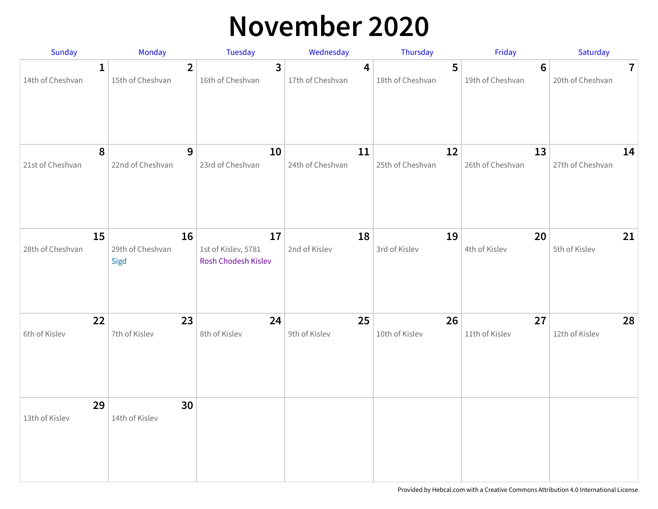### **November 2020**

| Sunday                 | <b>Monday</b>                  | <b>Tuesday</b>                                   | Wednesday              | Thursday               | Friday                             | Saturday                         |
|------------------------|--------------------------------|--------------------------------------------------|------------------------|------------------------|------------------------------------|----------------------------------|
| 14th of Cheshvan       | 1<br>15th of Cheshvan          | $\overline{2}$<br>3<br>16th of Cheshvan          | 4<br>17th of Cheshvan  | 5<br>18th of Cheshvan  | $6\phantom{1}$<br>19th of Cheshvan | $\mathbf{7}$<br>20th of Cheshvan |
| 21st of Cheshvan       | 8<br>22nd of Cheshvan          | 9<br>10<br>23rd of Cheshvan                      | 11<br>24th of Cheshvan | 12<br>25th of Cheshvan | 13<br>26th of Cheshvan             | 14<br>27th of Cheshvan           |
| 15<br>28th of Cheshvan | 16<br>29th of Cheshvan<br>Sigd | 17<br>1st of Kislev, 5781<br>Rosh Chodesh Kislev | 18<br>2nd of Kislev    | 19<br>3rd of Kislev    | 20<br>4th of Kislev                | 21<br>5th of Kislev              |
| 22<br>6th of Kislev    | 23<br>7th of Kislev            | 24<br>8th of Kislev                              | 25<br>9th of Kislev    | 26<br>10th of Kislev   | 27<br>11th of Kislev               | 28<br>12th of Kislev             |
| 29<br>13th of Kislev   | 30<br>14th of Kislev           |                                                  |                        |                        |                                    |                                  |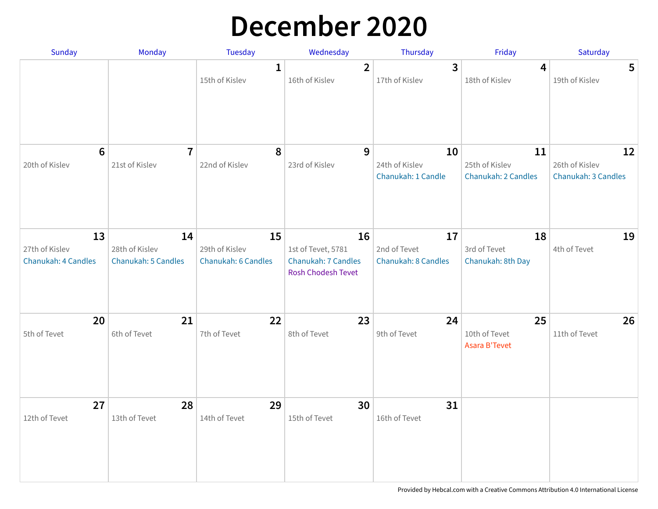### **December 2020**

| Sunday                                | Monday                                | <b>Tuesday</b>                        | Wednesday                                                              | Thursday                                   | Friday                                      | Saturday                                    |
|---------------------------------------|---------------------------------------|---------------------------------------|------------------------------------------------------------------------|--------------------------------------------|---------------------------------------------|---------------------------------------------|
|                                       |                                       | $\mathbf{1}$<br>15th of Kislev        | $\overline{2}$<br>16th of Kislev                                       | 3<br>17th of Kislev                        | 4<br>18th of Kislev                         | $5\phantom{1}$<br>19th of Kislev            |
|                                       |                                       |                                       |                                                                        |                                            |                                             |                                             |
| $6\phantom{1}6$<br>20th of Kislev     | $\overline{1}$<br>21st of Kislev      | 8<br>22nd of Kislev                   | 9<br>23rd of Kislev                                                    | 10<br>24th of Kislev<br>Chanukah: 1 Candle | 11<br>25th of Kislev<br>Chanukah: 2 Candles | 12<br>26th of Kislev<br>Chanukah: 3 Candles |
| 13                                    | 14                                    | 15                                    | 16                                                                     | 17                                         | 18                                          | 19                                          |
| 27th of Kislev<br>Chanukah: 4 Candles | 28th of Kislev<br>Chanukah: 5 Candles | 29th of Kislev<br>Chanukah: 6 Candles | 1st of Tevet, 5781<br>Chanukah: 7 Candles<br><b>Rosh Chodesh Tevet</b> | 2nd of Tevet<br>Chanukah: 8 Candles        | 3rd of Tevet<br>Chanukah: 8th Day           | 4th of Tevet                                |
| 20<br>5th of Tevet                    | 21<br>6th of Tevet                    | 22<br>7th of Tevet                    | 23<br>8th of Tevet                                                     | 24<br>9th of Tevet                         | 25<br>10th of Tevet<br><b>Asara B'Tevet</b> | 26<br>11th of Tevet                         |
| 27<br>12th of Tevet                   | 28<br>13th of Tevet                   | 29<br>14th of Tevet                   | 30<br>15th of Tevet                                                    | 31<br>16th of Tevet                        |                                             |                                             |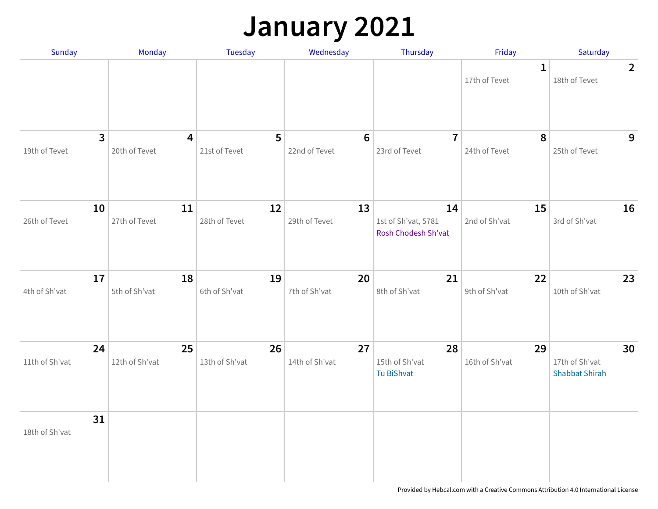### **January 2021**

| Sunday                          | Monday                                   | Tuesday              | Wednesday            | Thursday                                         | Friday                       | Saturday                                      |
|---------------------------------|------------------------------------------|----------------------|----------------------|--------------------------------------------------|------------------------------|-----------------------------------------------|
|                                 |                                          |                      |                      |                                                  | $\mathbf 1$<br>17th of Tevet | $\overline{2}$<br>18th of Tevet               |
| $\overline{3}$<br>19th of Tevet | $\overline{\mathbf{4}}$<br>20th of Tevet | 5<br>21st of Tevet   | 6<br>22nd of Tevet   | $\overline{7}$<br>23rd of Tevet                  | 8<br>24th of Tevet           | 9<br>25th of Tevet                            |
| 10<br>26th of Tevet             | 11<br>27th of Tevet                      | 12<br>28th of Tevet  | 13<br>29th of Tevet  | 14<br>1st of Sh'vat, 5781<br>Rosh Chodesh Sh'vat | 15<br>2nd of Sh'vat          | 16<br>3rd of Sh'vat                           |
| 17<br>4th of Sh'vat             | 18<br>5th of Sh'vat                      | 19<br>6th of Sh'vat  | 20<br>7th of Sh'vat  | 21<br>8th of Sh'vat                              | 22<br>9th of Sh'vat          | 23<br>10th of Sh'vat                          |
| 24<br>11th of Sh'vat            | 25<br>12th of Sh'vat                     | 26<br>13th of Sh'vat | 27<br>14th of Sh'vat | 28<br>15th of Sh'vat<br>Tu BiShvat               | 29<br>16th of Sh'vat         | 30<br>17th of Sh'vat<br><b>Shabbat Shirah</b> |
| 31<br>18th of Sh'vat            |                                          |                      |                      |                                                  |                              |                                               |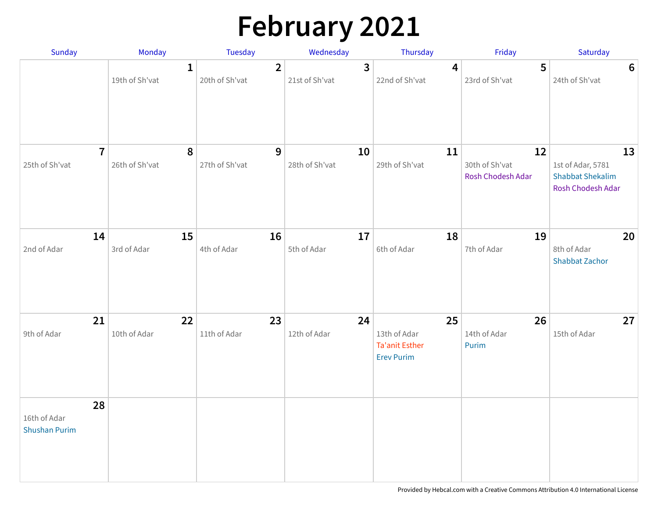# **February 2021**

| Sunday                                     | Monday                         | Tuesday                          | Wednesday                                 | Thursday                                                         | Friday                                    | Saturday                                                                |
|--------------------------------------------|--------------------------------|----------------------------------|-------------------------------------------|------------------------------------------------------------------|-------------------------------------------|-------------------------------------------------------------------------|
|                                            | $\mathbf{1}$<br>19th of Sh'vat | $\overline{2}$<br>20th of Sh'vat | $\overline{\mathbf{3}}$<br>21st of Sh'vat | 4<br>22nd of Sh'vat                                              | 5<br>23rd of Sh'vat                       | 6<br>24th of Sh'vat                                                     |
| $\overline{7}$<br>25th of Sh'vat           | 8<br>26th of Sh'vat            | $\mathbf{9}$<br>27th of Sh'vat   | 10<br>28th of Sh'vat                      | 11<br>29th of Sh'vat                                             | 12<br>30th of Sh'vat<br>Rosh Chodesh Adar | 13<br>1st of Adar, 5781<br><b>Shabbat Shekalim</b><br>Rosh Chodesh Adar |
| 14<br>2nd of Adar                          | 15<br>3rd of Adar              | 16<br>4th of Adar                | 17<br>5th of Adar                         | 18<br>6th of Adar                                                | 19<br>7th of Adar                         | 20<br>8th of Adar<br><b>Shabbat Zachor</b>                              |
| 21<br>9th of Adar                          | 22<br>10th of Adar             | 23<br>11th of Adar               | 24<br>12th of Adar                        | 25<br>13th of Adar<br><b>Ta'anit Esther</b><br><b>Erev Purim</b> | 26<br>14th of Adar<br>Purim               | 27<br>15th of Adar                                                      |
| 28<br>16th of Adar<br><b>Shushan Purim</b> |                                |                                  |                                           |                                                                  |                                           |                                                                         |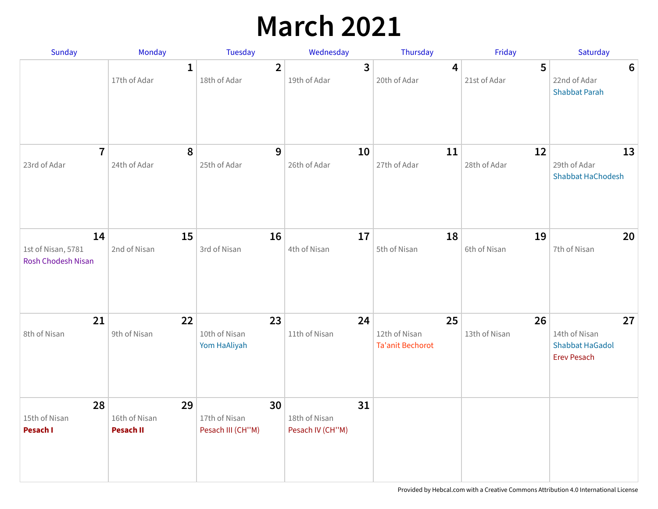### **March 2021**

| Sunday                                                | Monday                                  | <b>Tuesday</b>                           | Wednesday                               | Thursday                                       | Friday              | Saturday                                                            |
|-------------------------------------------------------|-----------------------------------------|------------------------------------------|-----------------------------------------|------------------------------------------------|---------------------|---------------------------------------------------------------------|
|                                                       | $\mathbf{1}$<br>17th of Adar            | $\overline{2}$<br>18th of Adar           | 3<br>19th of Adar                       | $\overline{4}$<br>20th of Adar                 | 5<br>21st of Adar   | 6<br>22nd of Adar<br><b>Shabbat Parah</b>                           |
| $\overline{1}$<br>23rd of Adar                        | 8<br>24th of Adar                       | 9<br>25th of Adar                        | 10<br>26th of Adar                      | 11<br>27th of Adar                             | 12<br>28th of Adar  | 13<br>29th of Adar<br><b>Shabbat HaChodesh</b>                      |
| 14<br>1st of Nisan, 5781<br><b>Rosh Chodesh Nisan</b> | 15<br>2nd of Nisan                      | 16<br>3rd of Nisan                       | 17<br>4th of Nisan                      | 18<br>5th of Nisan                             | 19<br>6th of Nisan  | 20<br>7th of Nisan                                                  |
| 21<br>8th of Nisan                                    | 22<br>9th of Nisan                      | 23<br>10th of Nisan<br>Yom HaAliyah      | 24<br>11th of Nisan                     | 25<br>12th of Nisan<br><b>Ta'anit Bechorot</b> | 26<br>13th of Nisan | 27<br>14th of Nisan<br><b>Shabbat HaGadol</b><br><b>Erev Pesach</b> |
| 28<br>15th of Nisan<br>Pesach I                       | 29<br>16th of Nisan<br><b>Pesach II</b> | 30<br>17th of Nisan<br>Pesach III (CH"M) | 31<br>18th of Nisan<br>Pesach IV (CH"M) |                                                |                     |                                                                     |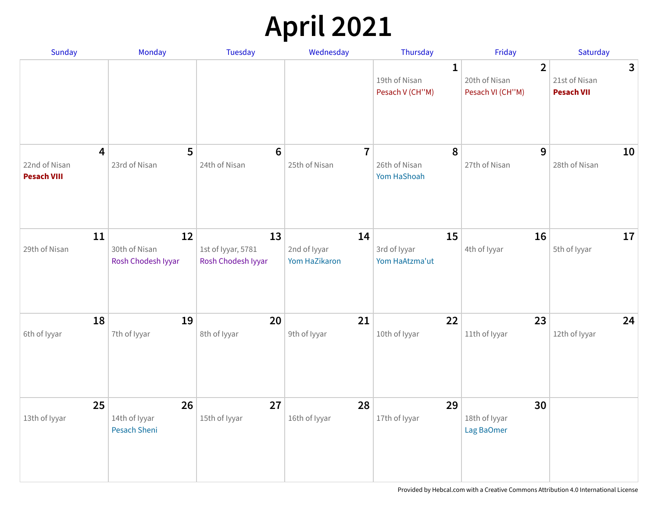# **April 2021**

| Sunday                                                         | <b>Monday</b>                              | <b>Tuesday</b>                                 | Wednesday                           | Thursday                                         | Friday                                              | Saturday                                           |
|----------------------------------------------------------------|--------------------------------------------|------------------------------------------------|-------------------------------------|--------------------------------------------------|-----------------------------------------------------|----------------------------------------------------|
|                                                                |                                            |                                                |                                     | $\mathbf{1}$<br>19th of Nisan<br>Pesach V (CH"M) | $\overline{2}$<br>20th of Nisan<br>Pesach VI (CH"M) | $\mathbf{3}$<br>21st of Nisan<br><b>Pesach VII</b> |
| $\overline{\mathbf{4}}$<br>22nd of Nisan<br><b>Pesach VIII</b> | 5<br>23rd of Nisan                         | $6\phantom{1}6$<br>24th of Nisan               | $\overline{7}$<br>25th of Nisan     | 8<br>26th of Nisan<br>Yom HaShoah                | 9<br>27th of Nisan                                  | 10<br>28th of Nisan                                |
| 11<br>29th of Nisan                                            | 12<br>30th of Nisan<br>Rosh Chodesh Iyyar  | 13<br>1st of Iyyar, 5781<br>Rosh Chodesh Iyyar | 14<br>2nd of lyyar<br>Yom HaZikaron | 15<br>3rd of Iyyar<br>Yom HaAtzma'ut             | 16<br>4th of Iyyar                                  | 17<br>5th of Iyyar                                 |
| 18<br>6th of Iyyar                                             | 19<br>7th of Iyyar                         | 20<br>8th of Iyyar                             | 21<br>9th of Iyyar                  | 22<br>10th of Iyyar                              | 23<br>11th of Iyyar                                 | 24<br>12th of Iyyar                                |
| 25<br>13th of Iyyar                                            | 26<br>14th of Iyyar<br><b>Pesach Sheni</b> | 27<br>15th of Iyyar                            | 28<br>16th of Iyyar                 | 29<br>17th of Iyyar                              | 30<br>18th of Iyyar<br>Lag BaOmer                   |                                                    |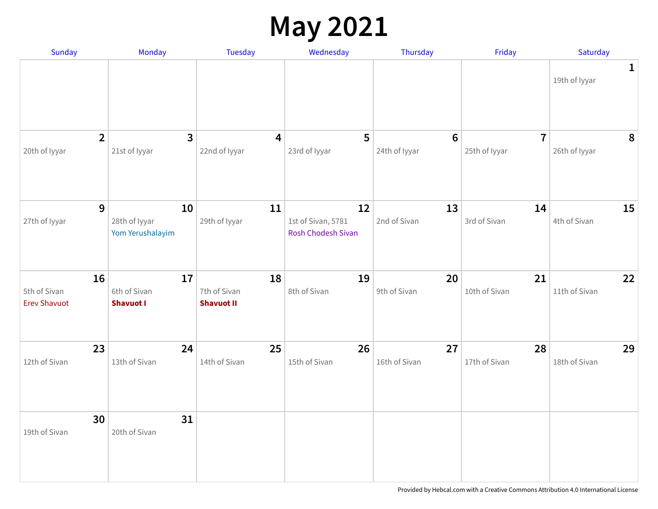### **May 2021**

| Sunday                                    | Monday                                  | Tuesday                                 | Wednesday                                             | Thursday                        | Friday                          | Saturday                      |
|-------------------------------------------|-----------------------------------------|-----------------------------------------|-------------------------------------------------------|---------------------------------|---------------------------------|-------------------------------|
|                                           |                                         |                                         |                                                       |                                 |                                 | $\mathbf{1}$<br>19th of Iyyar |
| $\overline{2}$<br>20th of Iyyar           | $\mathbf{3}$<br>21st of Iyyar           | 4<br>22nd of Iyyar                      | 5<br>23rd of Iyyar                                    | $6\phantom{1}$<br>24th of Iyyar | $\overline{7}$<br>25th of Iyyar | 8<br>26th of Iyyar            |
| 9<br>27th of Iyyar                        | 10<br>28th of Iyyar<br>Yom Yerushalayim | 11<br>29th of Iyyar                     | 12<br>1st of Sivan, 5781<br><b>Rosh Chodesh Sivan</b> | 13<br>2nd of Sivan              | 14<br>3rd of Sivan              | 15<br>4th of Sivan            |
| 16<br>5th of Sivan<br><b>Erev Shavuot</b> | 17<br>6th of Sivan<br><b>Shavuot I</b>  | 18<br>7th of Sivan<br><b>Shavuot II</b> | 19<br>8th of Sivan                                    | 20<br>9th of Sivan              | 21<br>10th of Sivan             | 22<br>11th of Sivan           |
| 23<br>12th of Sivan                       | 24<br>13th of Sivan                     | 25<br>14th of Sivan                     | 26<br>15th of Sivan                                   | 27<br>16th of Sivan             | 28<br>17th of Sivan             | 29<br>18th of Sivan           |
| 30<br>19th of Sivan                       | 31<br>20th of Sivan                     |                                         |                                                       |                                 |                                 |                               |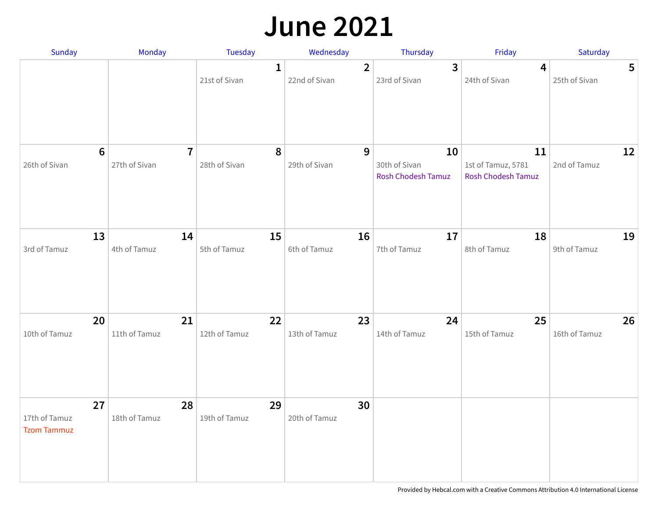#### **June 2021**

| Sunday                                    | Monday                          | Tuesday             | Wednesday                       | Thursday                                         | Friday                                                | Saturday                         |
|-------------------------------------------|---------------------------------|---------------------|---------------------------------|--------------------------------------------------|-------------------------------------------------------|----------------------------------|
|                                           |                                 | 1<br>21st of Sivan  | $\overline{2}$<br>22nd of Sivan | $\mathbf{3}$<br>23rd of Sivan                    | 4<br>24th of Sivan                                    | $5\phantom{.0}$<br>25th of Sivan |
| $6\phantom{1}$<br>26th of Sivan           | $\overline{7}$<br>27th of Sivan | 8<br>28th of Sivan  | 9<br>29th of Sivan              | 10<br>30th of Sivan<br><b>Rosh Chodesh Tamuz</b> | 11<br>1st of Tamuz, 5781<br><b>Rosh Chodesh Tamuz</b> | 12<br>2nd of Tamuz               |
| 13<br>3rd of Tamuz                        | 14<br>4th of Tamuz              | 15<br>5th of Tamuz  | 16<br>6th of Tamuz              | 17<br>7th of Tamuz                               | 18<br>8th of Tamuz                                    | 19<br>9th of Tamuz               |
| 20<br>10th of Tamuz                       | 21<br>11th of Tamuz             | 22<br>12th of Tamuz | 23<br>13th of Tamuz             | 24<br>14th of Tamuz                              | 25<br>15th of Tamuz                                   | 26<br>16th of Tamuz              |
| 27<br>17th of Tamuz<br><b>Tzom Tammuz</b> | 28<br>18th of Tamuz             | 29<br>19th of Tamuz | 30<br>20th of Tamuz             |                                                  |                                                       |                                  |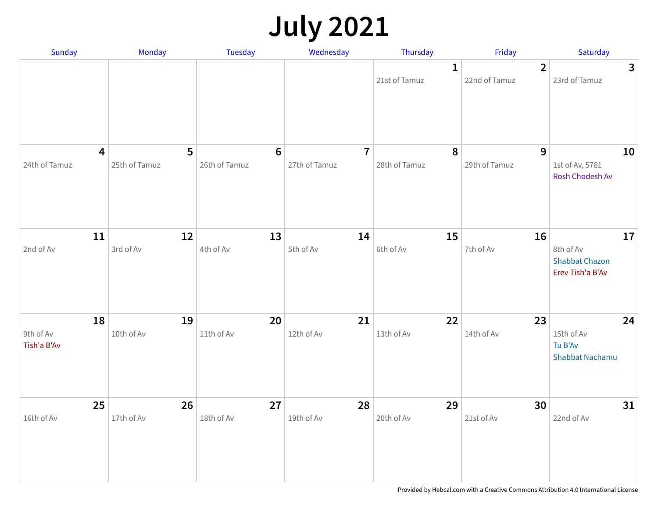## **July 2021**

| Sunday                                   | Monday             | Tuesday                           | Wednesday                       | Thursday                          | Friday                          | Saturday                                                     |
|------------------------------------------|--------------------|-----------------------------------|---------------------------------|-----------------------------------|---------------------------------|--------------------------------------------------------------|
|                                          |                    |                                   |                                 | 1<br>21st of Tamuz                | $\overline{2}$<br>22nd of Tamuz | $\mathbf{3}$<br>23rd of Tamuz                                |
| $\overline{\mathbf{4}}$<br>24th of Tamuz | 5<br>25th of Tamuz | $\boldsymbol{6}$<br>26th of Tamuz | $\overline{7}$<br>27th of Tamuz | $\boldsymbol{8}$<br>28th of Tamuz | $\mathbf{9}$<br>29th of Tamuz   | 10<br>1st of Av, 5781<br>Rosh Chodesh Av                     |
| 11<br>2nd of Av                          | 12<br>3rd of Av    | 13<br>4th of Av                   | 14<br>5th of Av                 | 15<br>6th of Av                   | 16<br>7th of Av                 | 17<br>8th of Av<br><b>Shabbat Chazon</b><br>Erev Tish'a B'Av |
| 18<br>9th of Av<br>Tish'a B'Av           | 19<br>10th of Av   | 20<br>11th of Av                  | 21<br>12th of Av                | 22<br>13th of Av                  | 23<br>14th of Av                | 24<br>15th of Av<br>Tu B'Av<br><b>Shabbat Nachamu</b>        |
| 25<br>16th of Av                         | 26<br>17th of Av   | 27<br>18th of Av                  | 28<br>19th of Av                | 29<br>20th of Av                  | 30<br>21st of Av                | 31<br>22nd of Av                                             |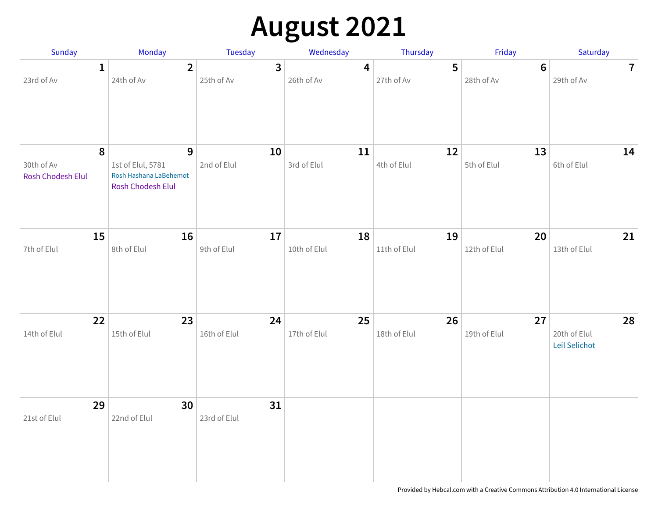# **August 2021**

| Sunday                                                     | <b>Monday</b>                                                                           | Tuesday                      | Wednesday          | Thursday           | Friday                       | Saturday                            |
|------------------------------------------------------------|-----------------------------------------------------------------------------------------|------------------------------|--------------------|--------------------|------------------------------|-------------------------------------|
| $\mathbf{1}$<br>23rd of Av                                 | $\overline{2}$<br>24th of Av                                                            | $\overline{3}$<br>25th of Av | 4<br>26th of Av    | 5<br>27th of Av    | $6\phantom{a}$<br>28th of Av | $\overline{7}$<br>29th of Av        |
| $\boldsymbol{8}$<br>30th of Av<br><b>Rosh Chodesh Elul</b> | $\mathbf{9}$<br>1st of Elul, 5781<br>Rosh Hashana LaBehemot<br><b>Rosh Chodesh Elul</b> | 10<br>2nd of Elul            | 11<br>3rd of Elul  | 12<br>4th of Elul  | 13<br>5th of Elul            | 14<br>6th of Elul                   |
| 15<br>7th of Elul                                          | 16<br>8th of Elul                                                                       | 17<br>9th of Elul            | 18<br>10th of Elul | 19<br>11th of Elul | 20<br>12th of Elul           | 21<br>13th of Elul                  |
| 22<br>14th of Elul                                         | 23<br>15th of Elul                                                                      | 24<br>16th of Elul           | 25<br>17th of Elul | 26<br>18th of Elul | 27<br>19th of Elul           | 28<br>20th of Elul<br>Leil Selichot |
| 29<br>21st of Elul                                         | 30<br>22nd of Elul                                                                      | 31<br>23rd of Elul           |                    |                    |                              |                                     |